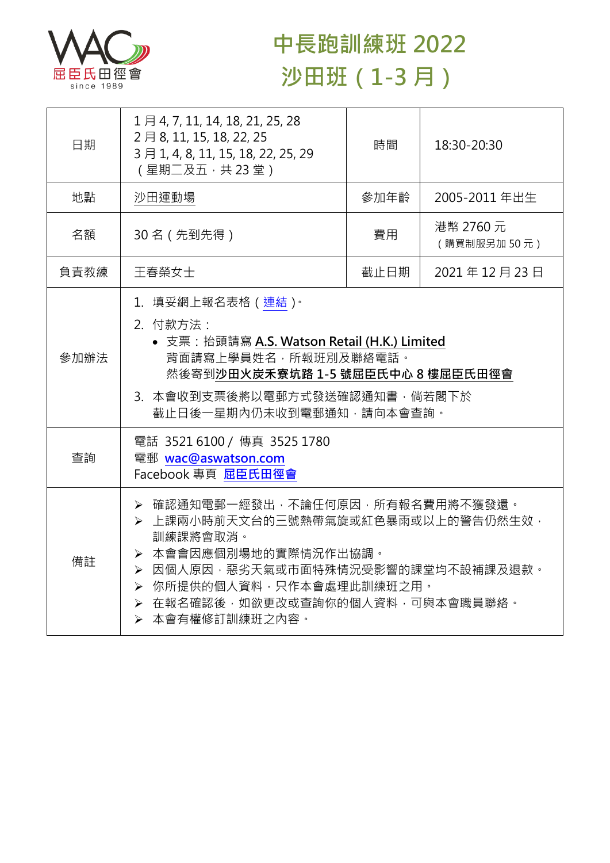

## **中長跑訓練班 2022 沙田班(1-3 月)**

| 日期   | 1月4, 7, 11, 14, 18, 21, 25, 28<br>2月8, 11, 15, 18, 22, 25<br>3月1, 4, 8, 11, 15, 18, 22, 25, 29<br>(星期二及五,共23堂)                                                                                                                        | 時間   | 18:30-20:30              |  |
|------|---------------------------------------------------------------------------------------------------------------------------------------------------------------------------------------------------------------------------------------|------|--------------------------|--|
| 地點   | 沙田運動場                                                                                                                                                                                                                                 | 參加年齡 | 2005-2011 年出生            |  |
| 名額   | 30名 (先到先得)                                                                                                                                                                                                                            | 費用   | 港幣 2760 元<br>(購買制服另加50元) |  |
| 負責教練 | 王春榮女士                                                                                                                                                                                                                                 | 截止日期 | 2021年12月23日              |  |
| 參加辦法 | 1. 填妥網上報名表格 (連結)。<br>2. 付款方法:<br>• 支票: 抬頭請寫 A.S. Watson Retail (H.K.) Limited<br>背面請寫上學員姓名,所報班別及聯絡電話。<br>然後寄到沙田火炭禾寮坑路 1-5 號屈臣氏中心 8 樓屈臣氏田徑會<br>3. 本會收到支票後將以電郵方式發送確認通知書,倘若閣下於<br>截止日後一星期內仍未收到電郵通知,請向本會查詢。                               |      |                          |  |
| 查詢   | 電話 3521 6100 / 傳真 3525 1780<br>電郵 wac@aswatson.com<br>Facebook 專頁 屈臣氏田徑會                                                                                                                                                              |      |                          |  |
| 備註   | ▶ 確認通知電郵一經發出,不論任何原因,所有報名費用將不獲發還。<br>▶ 上課兩小時前天文台的三號熱帶氣旋或紅色暴雨或以上的警告仍然生效,<br>訓練課將會取消。<br>▶ 本會會因應個別場地的實際情況作出協調。<br>▶ 因個人原因,惡劣天氣或市面特殊情況受影響的課堂均不設補課及退款。<br>▶ 你所提供的個人資料,只作本會處理此訓練班之用。<br>> 在報名確認後,如欲更改或查詢你的個人資料,可與本會職員聯絡。<br>> 本會有權修訂訓練班之內容。 |      |                          |  |